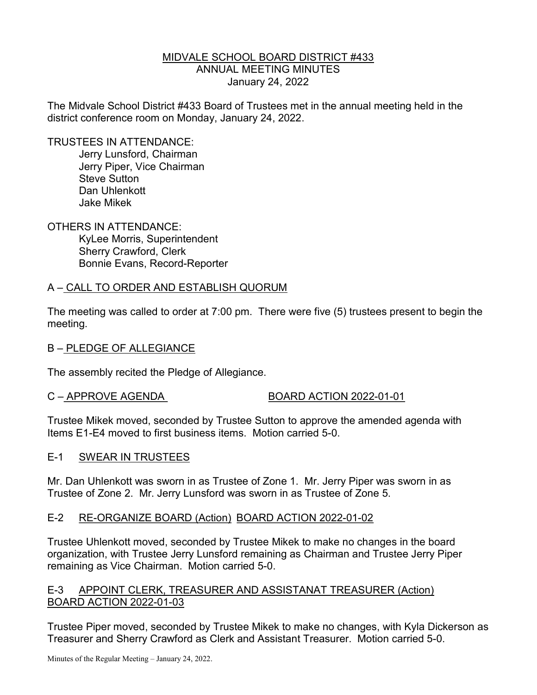## MIDVALE SCHOOL BOARD DISTRICT #433 ANNUAL MEETING MINUTES January 24, 2022

The Midvale School District #433 Board of Trustees met in the annual meeting held in the district conference room on Monday, January 24, 2022.

TRUSTEES IN ATTENDANCE:

 Jerry Lunsford, Chairman Jerry Piper, Vice Chairman Steve Sutton Dan Uhlenkott Jake Mikek

OTHERS IN ATTENDANCE:

 KyLee Morris, Superintendent Sherry Crawford, Clerk Bonnie Evans, Record-Reporter

## A – CALL TO ORDER AND ESTABLISH QUORUM

The meeting was called to order at 7:00 pm. There were five (5) trustees present to begin the meeting.

## B – PLEDGE OF ALLEGIANCE

The assembly recited the Pledge of Allegiance.

## C – APPROVE AGENDA BOARD ACTION 2022-01-01

Trustee Mikek moved, seconded by Trustee Sutton to approve the amended agenda with Items E1-E4 moved to first business items. Motion carried 5-0.

## E-1 SWEAR IN TRUSTEES

Mr. Dan Uhlenkott was sworn in as Trustee of Zone 1. Mr. Jerry Piper was sworn in as Trustee of Zone 2. Mr. Jerry Lunsford was sworn in as Trustee of Zone 5.

## E-2 RE-ORGANIZE BOARD (Action) BOARD ACTION 2022-01-02

Trustee Uhlenkott moved, seconded by Trustee Mikek to make no changes in the board organization, with Trustee Jerry Lunsford remaining as Chairman and Trustee Jerry Piper remaining as Vice Chairman. Motion carried 5-0.

## E-3 APPOINT CLERK, TREASURER AND ASSISTANAT TREASURER (Action) BOARD ACTION 2022-01-03

Trustee Piper moved, seconded by Trustee Mikek to make no changes, with Kyla Dickerson as Treasurer and Sherry Crawford as Clerk and Assistant Treasurer. Motion carried 5-0.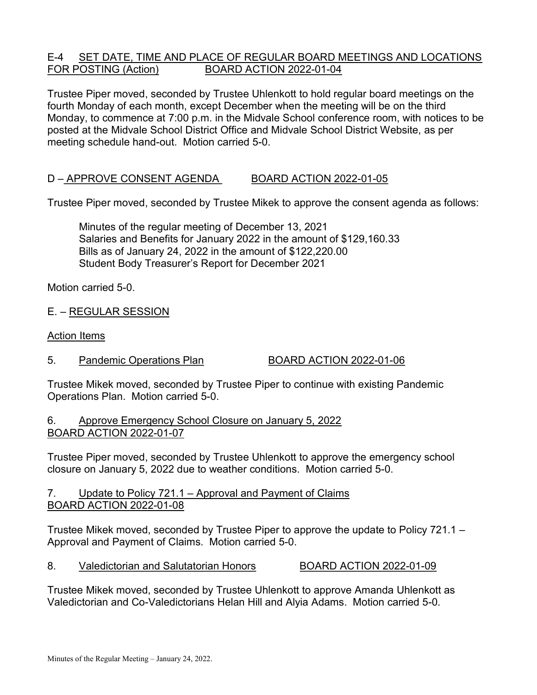## E-4 SET DATE, TIME AND PLACE OF REGULAR BOARD MEETINGS AND LOCATIONS FOR POSTING (Action) BOARD ACTION 2022-01-04

Trustee Piper moved, seconded by Trustee Uhlenkott to hold regular board meetings on the fourth Monday of each month, except December when the meeting will be on the third Monday, to commence at 7:00 p.m. in the Midvale School conference room, with notices to be posted at the Midvale School District Office and Midvale School District Website, as per meeting schedule hand-out. Motion carried 5-0.

## D – APPROVE CONSENT AGENDA BOARD ACTION 2022-01-05

Trustee Piper moved, seconded by Trustee Mikek to approve the consent agenda as follows:

 Minutes of the regular meeting of December 13, 2021 Salaries and Benefits for January 2022 in the amount of \$129,160.33 Bills as of January 24, 2022 in the amount of \$122,220.00 Student Body Treasurer's Report for December 2021

Motion carried 5-0.

E. – REGULAR SESSION

Action Items

5. Pandemic Operations Plan BOARD ACTION 2022-01-06

Trustee Mikek moved, seconded by Trustee Piper to continue with existing Pandemic Operations Plan. Motion carried 5-0.

6. Approve Emergency School Closure on January 5, 2022 BOARD ACTION 2022-01-07

Trustee Piper moved, seconded by Trustee Uhlenkott to approve the emergency school closure on January 5, 2022 due to weather conditions. Motion carried 5-0.

## 7. Update to Policy 721.1 – Approval and Payment of Claims BOARD ACTION 2022-01-08

Trustee Mikek moved, seconded by Trustee Piper to approve the update to Policy 721.1 – Approval and Payment of Claims. Motion carried 5-0.

8. Valedictorian and Salutatorian Honors BOARD ACTION 2022-01-09

Trustee Mikek moved, seconded by Trustee Uhlenkott to approve Amanda Uhlenkott as Valedictorian and Co-Valedictorians Helan Hill and Alyia Adams. Motion carried 5-0.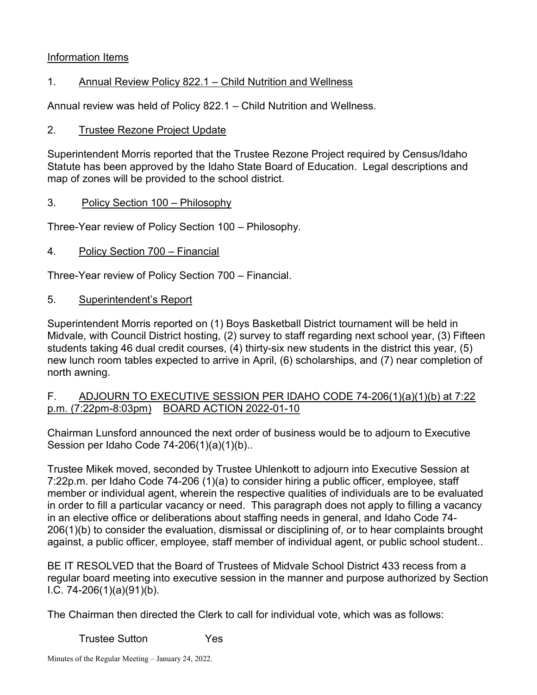## Information Items

# 1. Annual Review Policy 822.1 – Child Nutrition and Wellness

Annual review was held of Policy 822.1 – Child Nutrition and Wellness.

## 2. Trustee Rezone Project Update

Superintendent Morris reported that the Trustee Rezone Project required by Census/Idaho Statute has been approved by the Idaho State Board of Education. Legal descriptions and map of zones will be provided to the school district.

## 3. Policy Section 100 – Philosophy

Three-Year review of Policy Section 100 – Philosophy.

## 4. Policy Section 700 – Financial

Three-Year review of Policy Section 700 – Financial.

## 5. Superintendent's Report

Superintendent Morris reported on (1) Boys Basketball District tournament will be held in Midvale, with Council District hosting, (2) survey to staff regarding next school year, (3) Fifteen students taking 46 dual credit courses, (4) thirty-six new students in the district this year, (5) new lunch room tables expected to arrive in April, (6) scholarships, and (7) near completion of north awning.

## F. ADJOURN TO EXECUTIVE SESSION PER IDAHO CODE 74-206(1)(a)(1)(b) at 7:22 p.m. (7:22pm-8:03pm) BOARD ACTION 2022-01-10

Chairman Lunsford announced the next order of business would be to adjourn to Executive Session per Idaho Code 74-206(1)(a)(1)(b)..

Trustee Mikek moved, seconded by Trustee Uhlenkott to adjourn into Executive Session at 7:22p.m. per Idaho Code 74-206 (1)(a) to consider hiring a public officer, employee, staff member or individual agent, wherein the respective qualities of individuals are to be evaluated in order to fill a particular vacancy or need. This paragraph does not apply to filling a vacancy in an elective office or deliberations about staffing needs in general, and Idaho Code 74- 206(1)(b) to consider the evaluation, dismissal or disciplining of, or to hear complaints brought against, a public officer, employee, staff member of individual agent, or public school student..

BE IT RESOLVED that the Board of Trustees of Midvale School District 433 recess from a regular board meeting into executive session in the manner and purpose authorized by Section I.C. 74-206(1)(a)(91)(b).

The Chairman then directed the Clerk to call for individual vote, which was as follows:

Trustee Sutton Yes